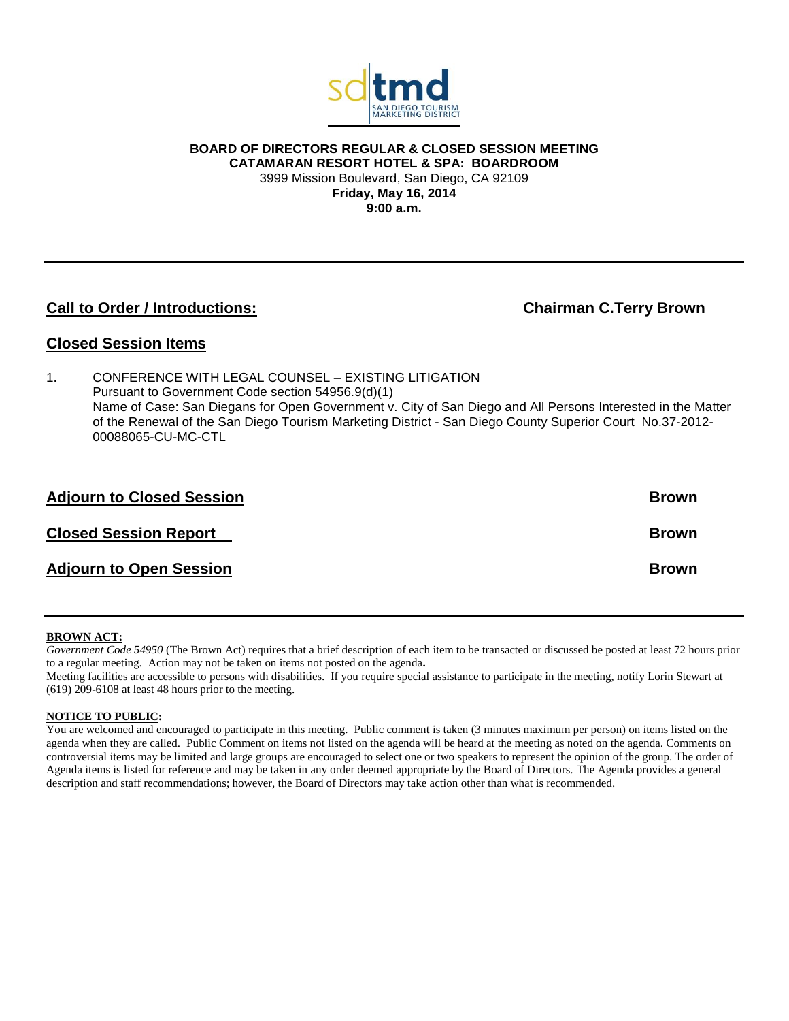

**BOARD OF DIRECTORS REGULAR & CLOSED SESSION MEETING CATAMARAN RESORT HOTEL & SPA: BOARDROOM** 3999 Mission Boulevard, San Diego, CA 92109 **Friday, May 16, 2014 9:00 a.m.**

# **Call to Order / Introductions:** Chairman C.Terry Brown

## **Closed Session Items**

1. CONFERENCE WITH LEGAL COUNSEL – EXISTING LITIGATION Pursuant to Government Code section 54956.9(d)(1) Name of Case: San Diegans for Open Government v. City of San Diego and All Persons Interested in the Matter of the Renewal of the San Diego Tourism Marketing District - San Diego County Superior Court No.37-2012- 00088065-CU-MC-CTL

| <b>Adjourn to Closed Session</b> | <b>Brown</b> |
|----------------------------------|--------------|
| <b>Closed Session Report</b>     | <b>Brown</b> |
| <b>Adjourn to Open Session</b>   | <b>Brown</b> |

#### **BROWN ACT:**

*Government Code 54950* (The Brown Act) requires that a brief description of each item to be transacted or discussed be posted at least 72 hours prior to a regular meeting. Action may not be taken on items not posted on the agenda**.**

Meeting facilities are accessible to persons with disabilities. If you require special assistance to participate in the meeting, notify Lorin Stewart at (619) 209-6108 at least 48 hours prior to the meeting.

#### **NOTICE TO PUBLIC:**

You are welcomed and encouraged to participate in this meeting. Public comment is taken (3 minutes maximum per person) on items listed on the agenda when they are called. Public Comment on items not listed on the agenda will be heard at the meeting as noted on the agenda. Comments on controversial items may be limited and large groups are encouraged to select one or two speakers to represent the opinion of the group. The order of Agenda items is listed for reference and may be taken in any order deemed appropriate by the Board of Directors. The Agenda provides a general description and staff recommendations; however, the Board of Directors may take action other than what is recommended.